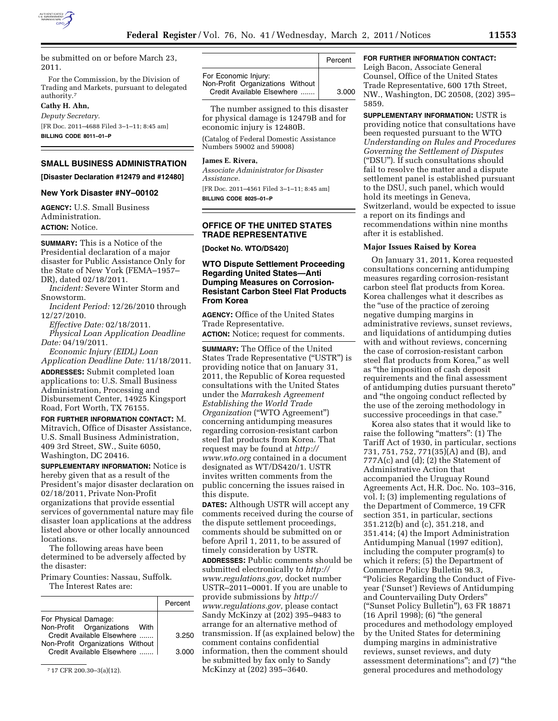

be submitted on or before March 23, 2011.

For the Commission, by the Division of Trading and Markets, pursuant to delegated authority.7

**Cathy H. Ahn,** 

*Deputy Secretary.*  [FR Doc. 2011–4688 Filed 3–1–11; 8:45 am] **BILLING CODE 8011–01–P** 

## **SMALL BUSINESS ADMINISTRATION**

**[Disaster Declaration #12479 and #12480]** 

## **New York Disaster #NY–00102**

**AGENCY:** U.S. Small Business Administration. **ACTION:** Notice.

**SUMMARY:** This is a Notice of the Presidential declaration of a major disaster for Public Assistance Only for the State of New York (FEMA–1957– DR), dated 02/18/2011.

*Incident:* Severe Winter Storm and Snowstorm.

*Incident Period:* 12/26/2010 through 12/27/2010.

*Effective Date:* 02/18/2011.

*Physical Loan Application Deadline Date:* 04/19/2011.

*Economic Injury (EIDL) Loan Application Deadline Date:* 11/18/2011.

**ADDRESSES:** Submit completed loan applications to: U.S. Small Business Administration, Processing and Disbursement Center, 14925 Kingsport Road, Fort Worth, TX 76155.

**FOR FURTHER INFORMATION CONTACT:** M. Mitravich, Office of Disaster Assistance, U.S. Small Business Administration, 409 3rd Street, SW., Suite 6050, Washington, DC 20416.

**SUPPLEMENTARY INFORMATION:** Notice is hereby given that as a result of the President's major disaster declaration on 02/18/2011, Private Non-Profit organizations that provide essential services of governmental nature may file disaster loan applications at the address listed above or other locally announced locations.

The following areas have been determined to be adversely affected by the disaster:

Primary Counties: Nassau, Suffolk. The Interest Rates are:

|                                                                                                                                                       | Percent        |
|-------------------------------------------------------------------------------------------------------------------------------------------------------|----------------|
| For Physical Damage:<br>Non-Profit Organizations With<br>Credit Available Elsewhere<br>Non-Profit Organizations Without<br>Credit Available Elsewhere | 3.250<br>3.000 |

7 17 CFR 200.30–3(a)(12).

|                                                                                        | Percent |
|----------------------------------------------------------------------------------------|---------|
| For Economic Injury:<br>Non-Profit Organizations Without<br>Credit Available Elsewhere | 3.000   |

The number assigned to this disaster for physical damage is 12479B and for economic injury is 12480B.

(Catalog of Federal Domestic Assistance Numbers 59002 and 59008)

#### **James E. Rivera,**

*Associate Administrator for Disaster Assistance.*  [FR Doc. 2011–4561 Filed 3–1–11; 8:45 am]

**BILLING CODE 8025–01–P** 

# **OFFICE OF THE UNITED STATES TRADE REPRESENTATIVE**

**[Docket No. WTO/DS420]** 

# **WTO Dispute Settlement Proceeding Regarding United States—Anti Dumping Measures on Corrosion-Resistant Carbon Steel Flat Products From Korea**

**AGENCY:** Office of the United States Trade Representative.

**ACTION:** Notice; request for comments.

**SUMMARY:** The Office of the United States Trade Representative (''USTR'') is providing notice that on January 31, 2011, the Republic of Korea requested consultations with the United States under the *Marrakesh Agreement Establishing the World Trade Organization* (''WTO Agreement'') concerning antidumping measures regarding corrosion-resistant carbon steel flat products from Korea. That request may be found at *[http://](http://www.wto.org)  [www.wto.org](http://www.wto.org)* contained in a document designated as WT/DS420/1. USTR invites written comments from the public concerning the issues raised in this dispute.

**DATES:** Although USTR will accept any comments received during the course of the dispute settlement proceedings, comments should be submitted on or before April 1, 2011, to be assured of timely consideration by USTR.

**ADDRESSES:** Public comments should be submitted electronically to *[http://](http://www.regulations.gov)  [www.regulations.gov,](http://www.regulations.gov)* docket number USTR–2011–0001. If you are unable to provide submissions by *[http://](http://www.regulations.gov)  [www.regulations.gov,](http://www.regulations.gov)* please contact Sandy McKinzy at (202) 395–9483 to arrange for an alternative method of transmission. If (as explained below) the comment contains confidential information, then the comment should be submitted by fax only to Sandy McKinzy at (202) 395–3640.

# **FOR FURTHER INFORMATION CONTACT:**

Leigh Bacon, Associate General Counsel, Office of the United States Trade Representative, 600 17th Street, NW., Washington, DC 20508, (202) 395– 5859.

**SUPPLEMENTARY INFORMATION:** USTR is providing notice that consultations have been requested pursuant to the WTO *Understanding on Rules and Procedures Governing the Settlement of Disputes*  (''DSU''). If such consultations should fail to resolve the matter and a dispute settlement panel is established pursuant to the DSU, such panel, which would hold its meetings in Geneva, Switzerland, would be expected to issue a report on its findings and recommendations within nine months after it is established.

#### **Major Issues Raised by Korea**

On January 31, 2011, Korea requested consultations concerning antidumping measures regarding corrosion-resistant carbon steel flat products from Korea. Korea challenges what it describes as the ''use of the practice of zeroing negative dumping margins in administrative reviews, sunset reviews, and liquidations of antidumping duties with and without reviews, concerning the case of corrosion-resistant carbon steel flat products from Korea," as well as ''the imposition of cash deposit requirements and the final assessment of antidumping duties pursuant thereto'' and ''the ongoing conduct reflected by the use of the zeroing methodology in successive proceedings in that case.''

Korea also states that it would like to raise the following "matters": (1) The Tariff Act of 1930, in particular, sections 731, 751, 752, 771(35)(A) and (B), and 777A(c) and (d); (2) the Statement of Administrative Action that accompanied the Uruguay Round Agreements Act, H.R. Doc. No. 103–316, vol. I; (3) implementing regulations of the Department of Commerce, 19 CFR section 351, in particular, sections 351.212(b) and (c), 351.218, and 351.414; (4) the Import Administration Antidumping Manual (1997 edition), including the computer program(s) to which it refers; (5) the Department of Commerce Policy Bulletin 98.3, ''Policies Regarding the Conduct of Fiveyear ('Sunset') Reviews of Antidumping and Countervailing Duty Orders'' (''Sunset Policy Bulletin''), 63 FR 18871 (16 April 1998); (6) ''the general procedures and methodology employed by the United States for determining dumping margins in administrative reviews, sunset reviews, and duty assessment determinations''; and (7) ''the general procedures and methodology